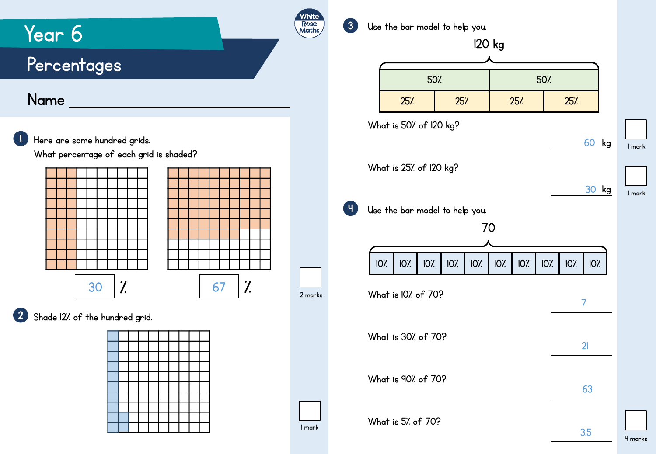

## 4 marks

1 mark

60 kg

30 kg

7

21

63

3.5

1 mark